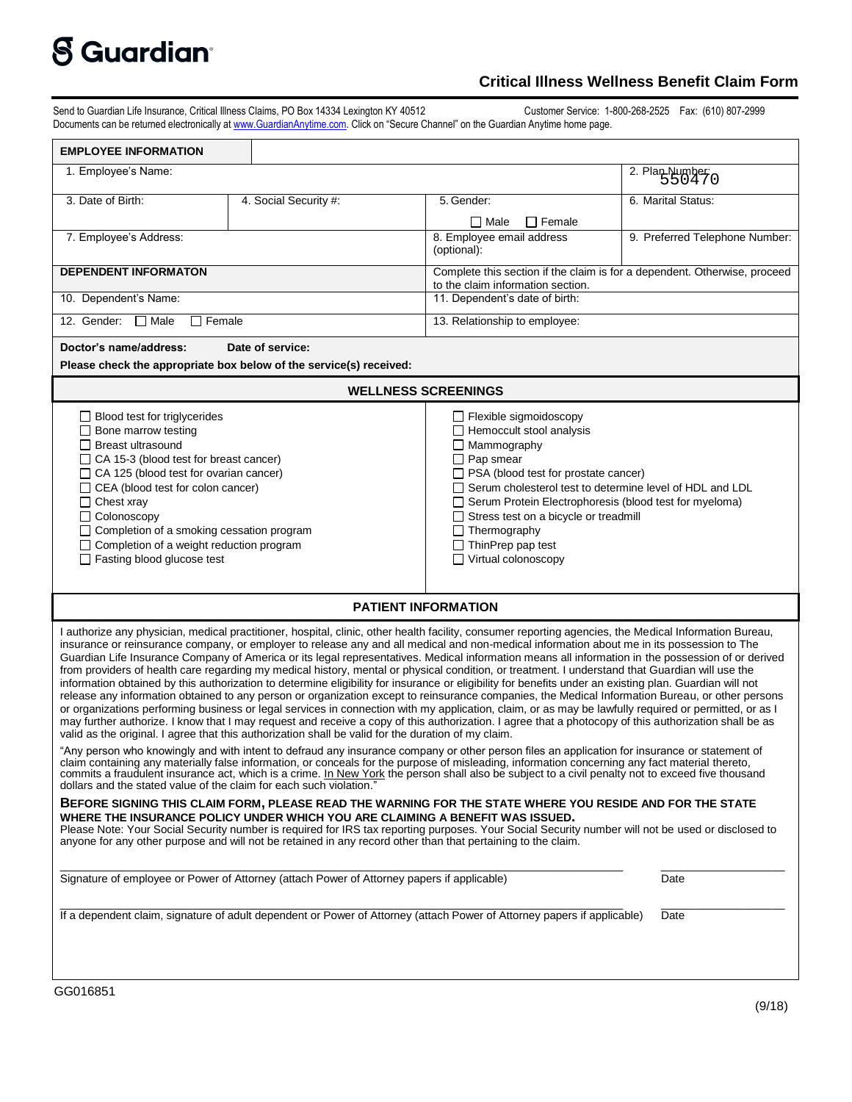## **S** Guardian<sup>®</sup>

## **Critical Illness Wellness Benefit Claim Form**

Send to Guardian Life Insurance, Critical Illness Claims, PO Box 14334 Lexington KY 40512 Customer Service: 1-800-268-2525 Fax: (610) 807-2999 Documents can be returned electronically a[t www.GuardianAnytime.com](http://www.guardiananytime.com/). Click on "Secure Channel" on the Guardian Anytime home page.

| <b>EMPLOYEE INFORMATION</b>                                                                                                                                                                                                                                                                                                                                                                                                                                                                                                                                                                                                                                                                                                                                                                                                                                                                                                                                                                                                                                                                                                                                                                                                                                                                                                                                                                                                                                                                            |                                                                                                                                                                                                                                                                                                                                                                                                                    |                                 |
|--------------------------------------------------------------------------------------------------------------------------------------------------------------------------------------------------------------------------------------------------------------------------------------------------------------------------------------------------------------------------------------------------------------------------------------------------------------------------------------------------------------------------------------------------------------------------------------------------------------------------------------------------------------------------------------------------------------------------------------------------------------------------------------------------------------------------------------------------------------------------------------------------------------------------------------------------------------------------------------------------------------------------------------------------------------------------------------------------------------------------------------------------------------------------------------------------------------------------------------------------------------------------------------------------------------------------------------------------------------------------------------------------------------------------------------------------------------------------------------------------------|--------------------------------------------------------------------------------------------------------------------------------------------------------------------------------------------------------------------------------------------------------------------------------------------------------------------------------------------------------------------------------------------------------------------|---------------------------------|
| 1. Employee's Name:                                                                                                                                                                                                                                                                                                                                                                                                                                                                                                                                                                                                                                                                                                                                                                                                                                                                                                                                                                                                                                                                                                                                                                                                                                                                                                                                                                                                                                                                                    |                                                                                                                                                                                                                                                                                                                                                                                                                    | $\overline{2}$ . Plan Number: 0 |
| 3. Date of Birth:<br>4. Social Security #:                                                                                                                                                                                                                                                                                                                                                                                                                                                                                                                                                                                                                                                                                                                                                                                                                                                                                                                                                                                                                                                                                                                                                                                                                                                                                                                                                                                                                                                             | 5. Gender:                                                                                                                                                                                                                                                                                                                                                                                                         | 6. Marital Status:              |
|                                                                                                                                                                                                                                                                                                                                                                                                                                                                                                                                                                                                                                                                                                                                                                                                                                                                                                                                                                                                                                                                                                                                                                                                                                                                                                                                                                                                                                                                                                        | $\Box$ Female<br><b>□ Male</b>                                                                                                                                                                                                                                                                                                                                                                                     |                                 |
| 7. Employee's Address:                                                                                                                                                                                                                                                                                                                                                                                                                                                                                                                                                                                                                                                                                                                                                                                                                                                                                                                                                                                                                                                                                                                                                                                                                                                                                                                                                                                                                                                                                 | 8. Employee email address<br>(optional):                                                                                                                                                                                                                                                                                                                                                                           | 9. Preferred Telephone Number:  |
| <b>DEPENDENT INFORMATON</b>                                                                                                                                                                                                                                                                                                                                                                                                                                                                                                                                                                                                                                                                                                                                                                                                                                                                                                                                                                                                                                                                                                                                                                                                                                                                                                                                                                                                                                                                            | Complete this section if the claim is for a dependent. Otherwise, proceed<br>to the claim information section.                                                                                                                                                                                                                                                                                                     |                                 |
| 10. Dependent's Name:                                                                                                                                                                                                                                                                                                                                                                                                                                                                                                                                                                                                                                                                                                                                                                                                                                                                                                                                                                                                                                                                                                                                                                                                                                                                                                                                                                                                                                                                                  | 11. Dependent's date of birth:                                                                                                                                                                                                                                                                                                                                                                                     |                                 |
| 12. Gender: □ Male<br>$\Box$ Female                                                                                                                                                                                                                                                                                                                                                                                                                                                                                                                                                                                                                                                                                                                                                                                                                                                                                                                                                                                                                                                                                                                                                                                                                                                                                                                                                                                                                                                                    | 13. Relationship to employee:                                                                                                                                                                                                                                                                                                                                                                                      |                                 |
| Doctor's name/address:<br>Date of service:<br>Please check the appropriate box below of the service(s) received:                                                                                                                                                                                                                                                                                                                                                                                                                                                                                                                                                                                                                                                                                                                                                                                                                                                                                                                                                                                                                                                                                                                                                                                                                                                                                                                                                                                       |                                                                                                                                                                                                                                                                                                                                                                                                                    |                                 |
| <b>WELLNESS SCREENINGS</b>                                                                                                                                                                                                                                                                                                                                                                                                                                                                                                                                                                                                                                                                                                                                                                                                                                                                                                                                                                                                                                                                                                                                                                                                                                                                                                                                                                                                                                                                             |                                                                                                                                                                                                                                                                                                                                                                                                                    |                                 |
| $\Box$ Blood test for triglycerides<br>$\Box$ Bone marrow testing<br>$\Box$ Breast ultrasound<br>$\Box$ CA 15-3 (blood test for breast cancer)<br>$\Box$ CA 125 (blood test for ovarian cancer)<br>$\Box$ CEA (blood test for colon cancer)<br>$\Box$ Chest xray<br>$\Box$ Colonoscopy<br>□ Completion of a smoking cessation program<br>$\Box$ Completion of a weight reduction program<br>$\Box$ Fasting blood glucose test                                                                                                                                                                                                                                                                                                                                                                                                                                                                                                                                                                                                                                                                                                                                                                                                                                                                                                                                                                                                                                                                          | $\Box$ Flexible sigmoidoscopy<br>$\Box$ Hemoccult stool analysis<br>$\Box$ Mammography<br>$\Box$ Pap smear<br>$\Box$ PSA (blood test for prostate cancer)<br>Serum cholesterol test to determine level of HDL and LDL<br>□ Serum Protein Electrophoresis (blood test for myeloma)<br>$\Box$ Stress test on a bicycle or treadmill<br>$\Box$ Thermography<br>$\Box$ ThinPrep pap test<br>$\Box$ Virtual colonoscopy |                                 |
| <b>PATIENT INFORMATION</b>                                                                                                                                                                                                                                                                                                                                                                                                                                                                                                                                                                                                                                                                                                                                                                                                                                                                                                                                                                                                                                                                                                                                                                                                                                                                                                                                                                                                                                                                             |                                                                                                                                                                                                                                                                                                                                                                                                                    |                                 |
| I authorize any physician, medical practitioner, hospital, clinic, other health facility, consumer reporting agencies, the Medical Information Bureau,<br>insurance or reinsurance company, or employer to release any and all medical and non-medical information about me in its possession to The<br>Guardian Life Insurance Company of America or its legal representatives. Medical information means all information in the possession of or derived<br>from providers of health care regarding my medical history, mental or physical condition, or treatment. I understand that Guardian will use the<br>information obtained by this authorization to determine eligibility for insurance or eligibility for benefits under an existing plan. Guardian will not<br>release any information obtained to any person or organization except to reinsurance companies, the Medical Information Bureau, or other persons<br>or organizations performing business or legal services in connection with my application, claim, or as may be lawfully required or permitted, or as I<br>may further authorize. I know that I may request and receive a copy of this authorization. I agree that a photocopy of this authorization shall be as<br>valid as the original. I agree that this authorization shall be valid for the duration of my claim.<br>"Any person who knowingly and with intent to defraud any insurance company or other person files an application for insurance or statement of |                                                                                                                                                                                                                                                                                                                                                                                                                    |                                 |
| claim containing any materially false information, or conceals for the purpose of misleading, information concerning any fact material thereto,<br>commits a fraudulent insurance act, which is a crime. In New York the person shall also be subject to a civil penalty not to exceed five thousand<br>dollars and the stated value of the claim for each such violation."                                                                                                                                                                                                                                                                                                                                                                                                                                                                                                                                                                                                                                                                                                                                                                                                                                                                                                                                                                                                                                                                                                                            |                                                                                                                                                                                                                                                                                                                                                                                                                    |                                 |
| BEFORE SIGNING THIS CLAIM FORM, PLEASE READ THE WARNING FOR THE STATE WHERE YOU RESIDE AND FOR THE STATE<br>WHERE THE INSURANCE POLICY UNDER WHICH YOU ARE CLAIMING A BENEFIT WAS ISSUED.<br>Please Note: Your Social Security number is required for IRS tax reporting purposes. Your Social Security number will not be used or disclosed to<br>anyone for any other purpose and will not be retained in any record other than that pertaining to the claim.                                                                                                                                                                                                                                                                                                                                                                                                                                                                                                                                                                                                                                                                                                                                                                                                                                                                                                                                                                                                                                         |                                                                                                                                                                                                                                                                                                                                                                                                                    |                                 |
| Signature of employee or Power of Attorney (attach Power of Attorney papers if applicable)                                                                                                                                                                                                                                                                                                                                                                                                                                                                                                                                                                                                                                                                                                                                                                                                                                                                                                                                                                                                                                                                                                                                                                                                                                                                                                                                                                                                             |                                                                                                                                                                                                                                                                                                                                                                                                                    | Date                            |
| If a dependent claim, signature of adult dependent or Power of Attorney (attach Power of Attorney papers if applicable)<br>Date                                                                                                                                                                                                                                                                                                                                                                                                                                                                                                                                                                                                                                                                                                                                                                                                                                                                                                                                                                                                                                                                                                                                                                                                                                                                                                                                                                        |                                                                                                                                                                                                                                                                                                                                                                                                                    |                                 |
|                                                                                                                                                                                                                                                                                                                                                                                                                                                                                                                                                                                                                                                                                                                                                                                                                                                                                                                                                                                                                                                                                                                                                                                                                                                                                                                                                                                                                                                                                                        |                                                                                                                                                                                                                                                                                                                                                                                                                    |                                 |